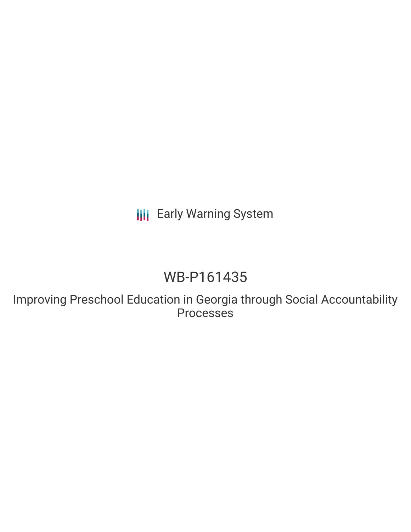**III** Early Warning System

## WB-P161435

Improving Preschool Education in Georgia through Social Accountability Processes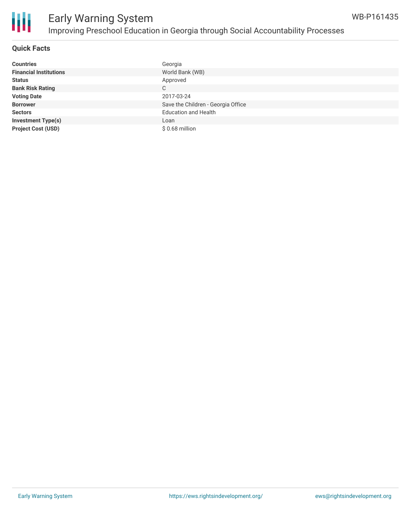

### **Quick Facts**

| <b>Countries</b>              | Georgia                            |
|-------------------------------|------------------------------------|
| <b>Financial Institutions</b> | World Bank (WB)                    |
| <b>Status</b>                 | Approved                           |
| <b>Bank Risk Rating</b>       | C                                  |
| <b>Voting Date</b>            | 2017-03-24                         |
| <b>Borrower</b>               | Save the Children - Georgia Office |
| <b>Sectors</b>                | <b>Education and Health</b>        |
| <b>Investment Type(s)</b>     | Loan                               |
| <b>Project Cost (USD)</b>     | $$0.68$ million                    |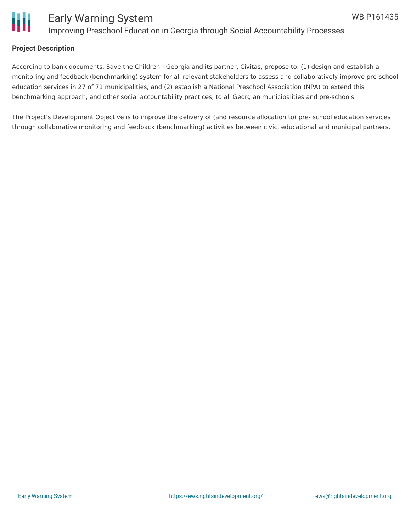

#### **Project Description**

According to bank documents, Save the Children - Georgia and its partner, Civitas, propose to: (1) design and establish a monitoring and feedback (benchmarking) system for all relevant stakeholders to assess and collaboratively improve pre-school education services in 27 of 71 municipalities, and (2) establish a National Preschool Association (NPA) to extend this benchmarking approach, and other social accountability practices, to all Georgian municipalities and pre-schools.

The Project's Development Objective is to improve the delivery of (and resource allocation to) pre- school education services through collaborative monitoring and feedback (benchmarking) activities between civic, educational and municipal partners.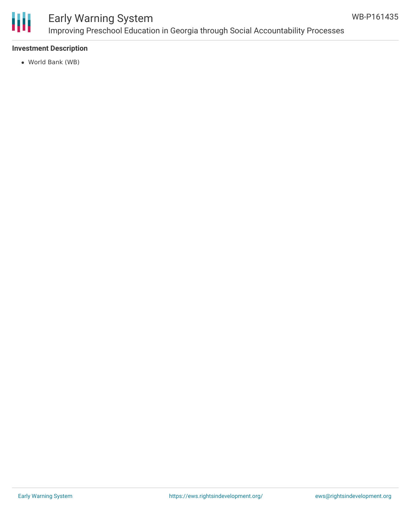

### **Investment Description**

World Bank (WB)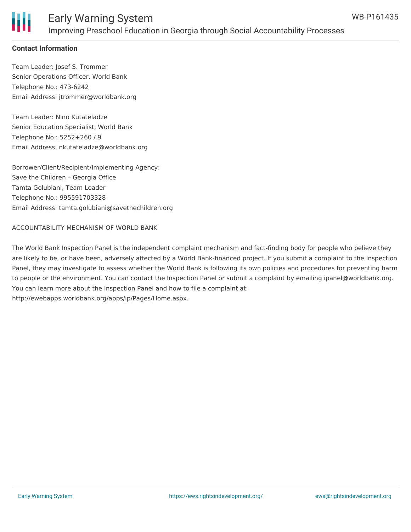

### **Contact Information**

Team Leader: Josef S. Trommer Senior Operations Officer, World Bank Telephone No.: 473-6242 Email Address: jtrommer@worldbank.org

Team Leader: Nino Kutateladze Senior Education Specialist, World Bank Telephone No.: 5252+260 / 9 Email Address: nkutateladze@worldbank.org

Borrower/Client/Recipient/Implementing Agency: Save the Children – Georgia Office Tamta Golubiani, Team Leader Telephone No.: 995591703328 Email Address: tamta.golubiani@savethechildren.org

#### ACCOUNTABILITY MECHANISM OF WORLD BANK

The World Bank Inspection Panel is the independent complaint mechanism and fact-finding body for people who believe they are likely to be, or have been, adversely affected by a World Bank-financed project. If you submit a complaint to the Inspection Panel, they may investigate to assess whether the World Bank is following its own policies and procedures for preventing harm to people or the environment. You can contact the Inspection Panel or submit a complaint by emailing ipanel@worldbank.org. You can learn more about the Inspection Panel and how to file a complaint at: http://ewebapps.worldbank.org/apps/ip/Pages/Home.aspx.